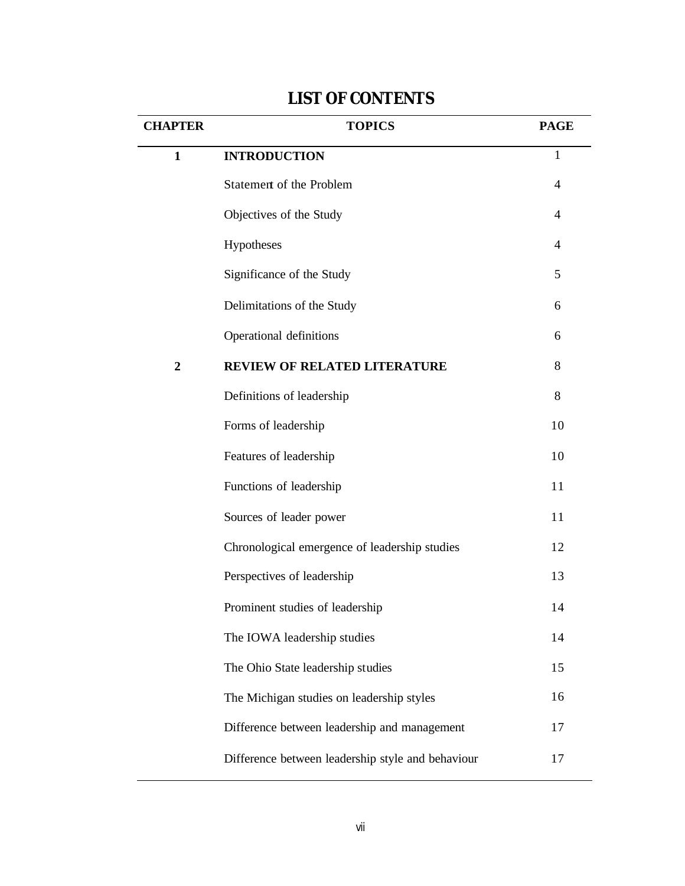## **CHAPTER TOPICS PAGE 1 INTRODUCTION** 1 Statement of the Problem 4 Objectives of the Study 4 Hypotheses 4 Significance of the Study 5 Delimitations of the Study 6 Operational definitions 6 **2 REVIEW OF RELATED LITERATURE** 8 Definitions of leadership 8 Forms of leadership 10 Features of leadership 10 Functions of leadership 11 Sources of leader power 11 Chronological emergence of leadership studies 12 Perspectives of leadership 13 Prominent studies of leadership 14 The IOWA leadership studies 14 The Ohio State leadership studies 15 The Michigan studies on leadership styles 16 Difference between leadership and management 17 Difference between leadership style and behaviour 17

## **LIST OF CONTENTS**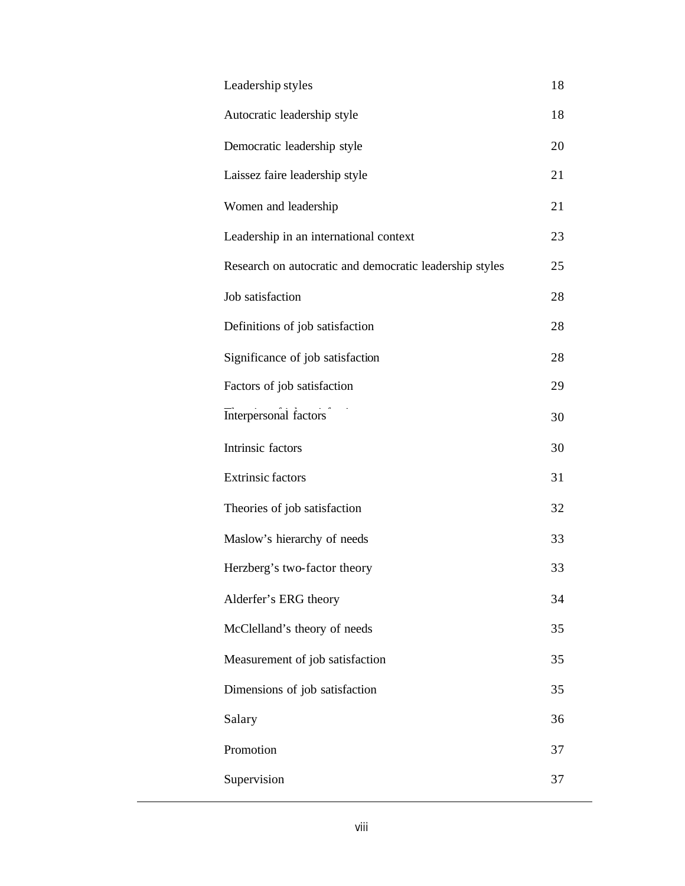| Leadership styles                                       | 18 |
|---------------------------------------------------------|----|
| Autocratic leadership style                             | 18 |
| Democratic leadership style                             | 20 |
| Laissez faire leadership style                          | 21 |
| Women and leadership                                    | 21 |
| Leadership in an international context                  | 23 |
| Research on autocratic and democratic leadership styles | 25 |
| Job satisfaction                                        | 28 |
| Definitions of job satisfaction                         | 28 |
| Significance of job satisfaction                        | 28 |
| Factors of job satisfaction                             | 29 |
| Interpersonal factors                                   | 30 |
| Intrinsic factors                                       | 30 |
| <b>Extrinsic factors</b>                                | 31 |
| Theories of job satisfaction                            | 32 |
| Maslow's hierarchy of needs                             | 33 |
| Herzberg's two-factor theory                            | 33 |
| Alderfer's ERG theory                                   | 34 |
| McClelland's theory of needs                            | 35 |
| Measurement of job satisfaction                         | 35 |
| Dimensions of job satisfaction                          | 35 |
| Salary                                                  | 36 |
| Promotion                                               | 37 |
| Supervision                                             | 37 |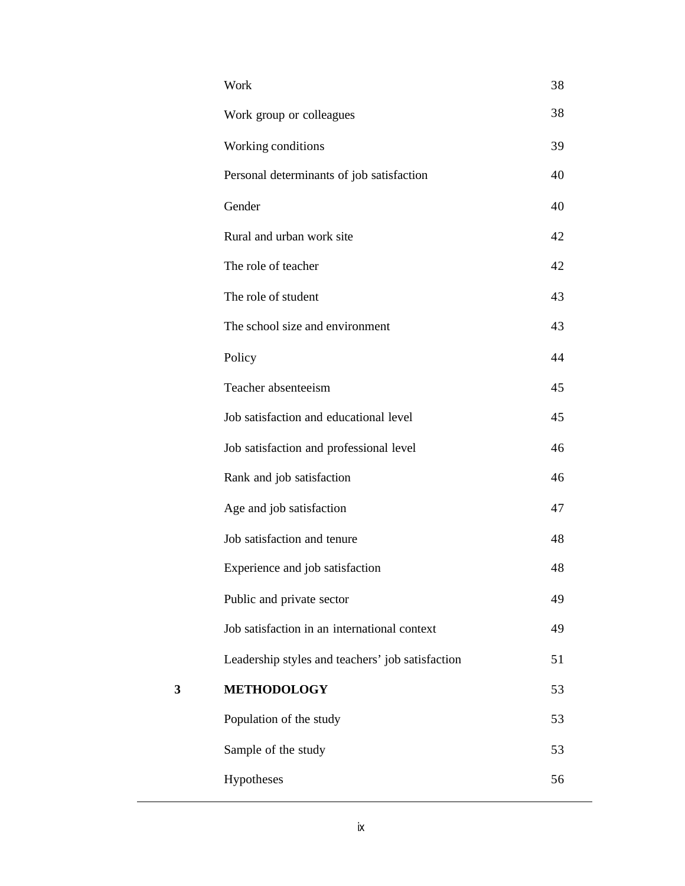|   | Work                                             | 38 |
|---|--------------------------------------------------|----|
|   | Work group or colleagues                         | 38 |
|   | Working conditions                               | 39 |
|   | Personal determinants of job satisfaction        | 40 |
|   | Gender                                           | 40 |
|   | Rural and urban work site                        | 42 |
|   | The role of teacher                              | 42 |
|   | The role of student                              | 43 |
|   | The school size and environment                  | 43 |
|   | Policy                                           | 44 |
|   | Teacher absenteeism                              | 45 |
|   | Job satisfaction and educational level           | 45 |
|   | Job satisfaction and professional level          | 46 |
|   | Rank and job satisfaction                        | 46 |
|   | Age and job satisfaction                         | 47 |
|   | Job satisfaction and tenure                      | 48 |
|   | Experience and job satisfaction                  | 48 |
|   | Public and private sector                        | 49 |
|   | Job satisfaction in an international context     | 49 |
|   | Leadership styles and teachers' job satisfaction | 51 |
| 3 | <b>METHODOLOGY</b>                               | 53 |
|   | Population of the study                          | 53 |
|   | Sample of the study                              | 53 |
|   | Hypotheses                                       | 56 |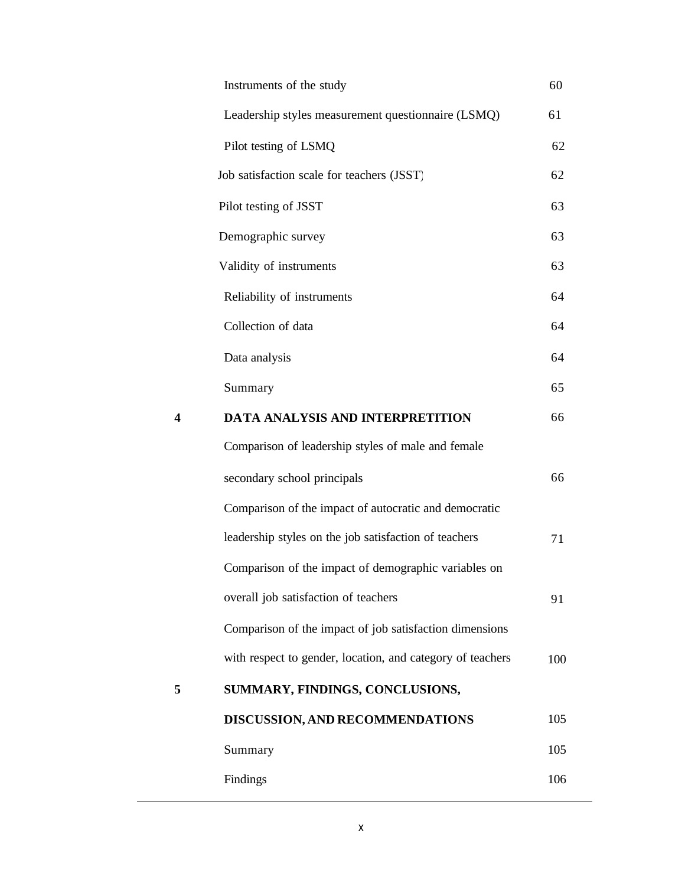|   | Instruments of the study                                   | 60  |
|---|------------------------------------------------------------|-----|
|   | Leadership styles measurement questionnaire (LSMQ)         | 61  |
|   | Pilot testing of LSMQ                                      | 62  |
|   | Job satisfaction scale for teachers (JSST)                 | 62  |
|   | Pilot testing of JSST                                      | 63  |
|   | Demographic survey                                         | 63  |
|   | Validity of instruments                                    | 63  |
|   | Reliability of instruments                                 | 64  |
|   | Collection of data                                         | 64  |
|   | Data analysis                                              | 64  |
|   | Summary                                                    | 65  |
| 4 | DATA ANALYSIS AND INTERPRETITION                           | 66  |
|   | Comparison of leadership styles of male and female         |     |
|   | secondary school principals                                | 66  |
|   | Comparison of the impact of autocratic and democratic      |     |
|   | leadership styles on the job satisfaction of teachers      | 71  |
|   | Comparison of the impact of demographic variables on       |     |
|   | overall job satisfaction of teachers                       | 91  |
|   | Comparison of the impact of job satisfaction dimensions    |     |
|   | with respect to gender, location, and category of teachers | 100 |
| 5 | SUMMARY, FINDINGS, CONCLUSIONS,                            |     |
|   | DISCUSSION, AND RECOMMENDATIONS                            | 105 |
|   | Summary                                                    | 105 |
|   | Findings                                                   | 106 |